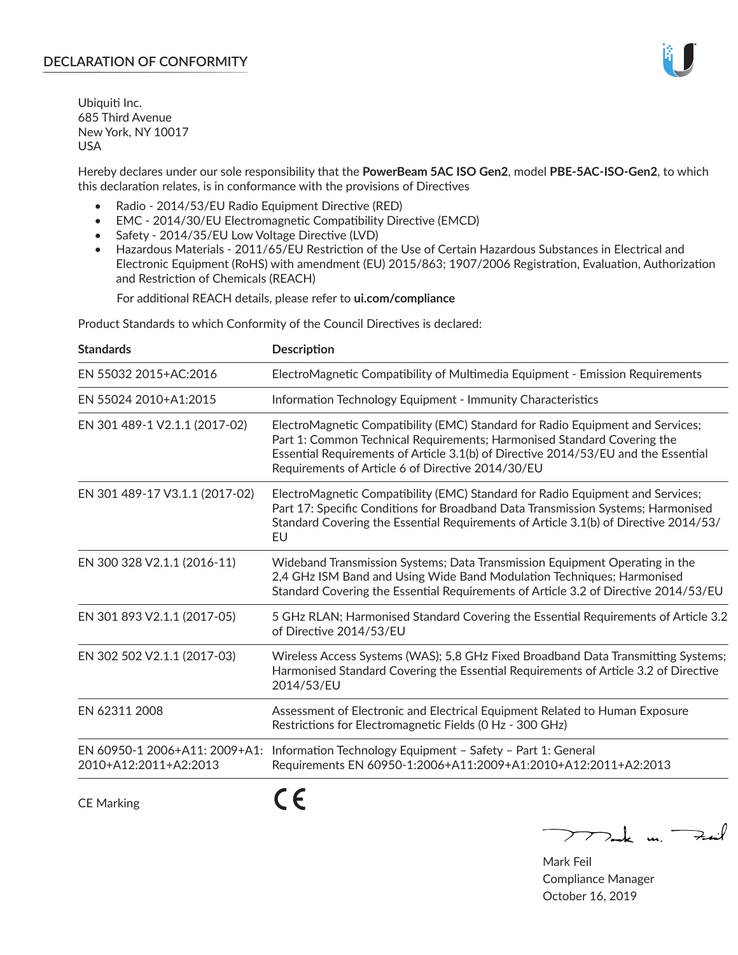

Ubiquiti Inc. 685 Third Avenue New York, NY 10017 USA

Hereby declares under our sole responsibility that the **PowerBeam 5AC ISO Gen2**, model **PBE-5AC-ISO-Gen2**, to which this declaration relates, is in conformance with the provisions of Directives

- Radio 2014/53/EU Radio Equipment Directive (RED)
- EMC 2014/30/EU Electromagnetic Compatibility Directive (EMCD)
- Safety 2014/35/EU Low Voltage Directive (LVD)
- Hazardous Materials 2011/65/EU Restriction of the Use of Certain Hazardous Substances in Electrical and Electronic Equipment (RoHS) with amendment (EU) 2015/863; 1907/2006 Registration, Evaluation, Authorization and Restriction of Chemicals (REACH)

For additional REACH details, please refer to **ui.com/compliance**

Product Standards to which Conformity of the Council Directives is declared:

| <b>Standards</b>                                       | <b>Description</b>                                                                                                                                                                                                                                                                                   |
|--------------------------------------------------------|------------------------------------------------------------------------------------------------------------------------------------------------------------------------------------------------------------------------------------------------------------------------------------------------------|
| EN 55032 2015+AC:2016                                  | ElectroMagnetic Compatibility of Multimedia Equipment - Emission Requirements                                                                                                                                                                                                                        |
| EN 55024 2010+A1:2015                                  | Information Technology Equipment - Immunity Characteristics                                                                                                                                                                                                                                          |
| EN 301 489-1 V2.1.1 (2017-02)                          | ElectroMagnetic Compatibility (EMC) Standard for Radio Equipment and Services;<br>Part 1: Common Technical Requirements; Harmonised Standard Covering the<br>Essential Requirements of Article 3.1(b) of Directive 2014/53/EU and the Essential<br>Requirements of Article 6 of Directive 2014/30/EU |
| EN 301 489-17 V3.1.1 (2017-02)                         | ElectroMagnetic Compatibility (EMC) Standard for Radio Equipment and Services;<br>Part 17: Specific Conditions for Broadband Data Transmission Systems; Harmonised<br>Standard Covering the Essential Requirements of Article 3.1(b) of Directive 2014/53/<br>EU                                     |
| EN 300 328 V2.1.1 (2016-11)                            | Wideband Transmission Systems; Data Transmission Equipment Operating in the<br>2,4 GHz ISM Band and Using Wide Band Modulation Techniques; Harmonised<br>Standard Covering the Essential Requirements of Article 3.2 of Directive 2014/53/EU                                                         |
| EN 301 893 V2.1.1 (2017-05)                            | 5 GHz RLAN; Harmonised Standard Covering the Essential Requirements of Article 3.2<br>of Directive 2014/53/EU                                                                                                                                                                                        |
| EN 302 502 V2.1.1 (2017-03)                            | Wireless Access Systems (WAS); 5,8 GHz Fixed Broadband Data Transmitting Systems;<br>Harmonised Standard Covering the Essential Requirements of Article 3.2 of Directive<br>2014/53/EU                                                                                                               |
| EN 62311 2008                                          | Assessment of Electronic and Electrical Equipment Related to Human Exposure<br>Restrictions for Electromagnetic Fields (0 Hz - 300 GHz)                                                                                                                                                              |
| EN 60950-1 2006+A11: 2009+A1:<br>2010+A12:2011+A2:2013 | Information Technology Equipment - Safety - Part 1: General<br>Requirements EN 60950-1:2006+A11:2009+A1:2010+A12:2011+A2:2013                                                                                                                                                                        |
|                                                        |                                                                                                                                                                                                                                                                                                      |

CE Marking

 $\epsilon$ 

 $\nabla$  and  $\nabla$  and  $\nabla$ 

Mark Feil Compliance Manager October 16, 2019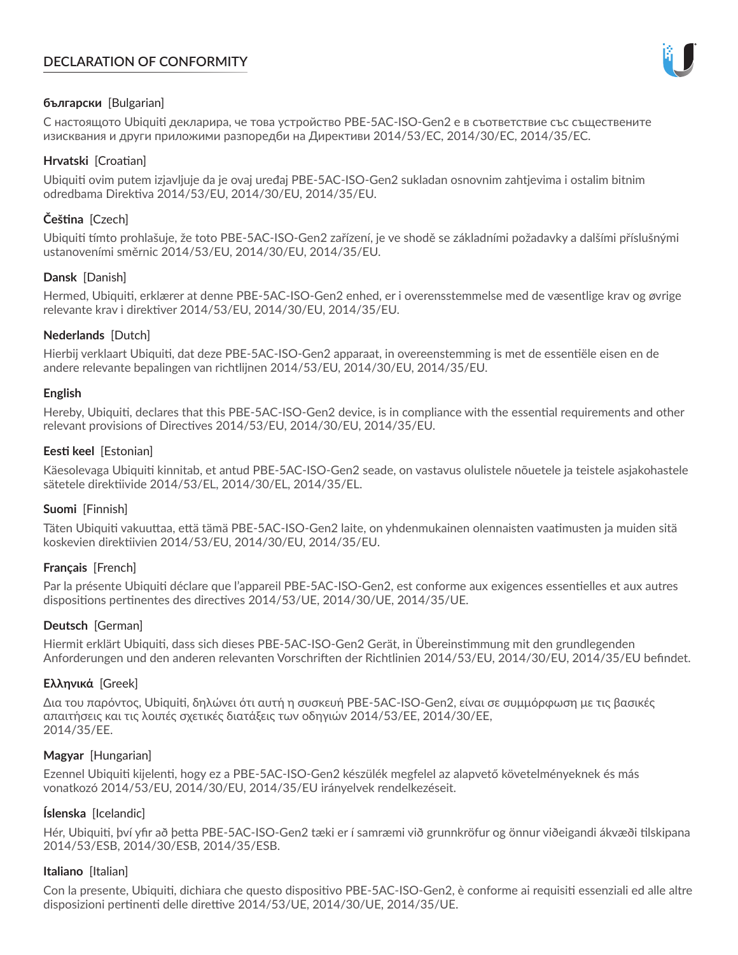# **DECLARATION OF CONFORMITY**



## **български** [Bulgarian]

С настоящото Ubiquiti декларира, че това устройство PBE-5AC-ISO-Gen2 е в съответствие със съществените изисквания и други приложими разпоредби на Директиви 2014/53/EC, 2014/30/ЕС, 2014/35/ЕС.

## **Hrvatski** [Croatian]

Ubiquiti ovim putem izjavljuje da je ovaj uređaj PBE-5AC-ISO-Gen2 sukladan osnovnim zahtjevima i ostalim bitnim odredbama Direktiva 2014/53/EU, 2014/30/EU, 2014/35/EU.

# **Čeština** [Czech]

Ubiquiti tímto prohlašuje, že toto PBE-5AC-ISO-Gen2 zařízení, je ve shodě se základními požadavky a dalšími příslušnými ustanoveními směrnic 2014/53/EU, 2014/30/EU, 2014/35/EU.

## **Dansk** [Danish]

Hermed, Ubiquiti, erklærer at denne PBE-5AC-ISO-Gen2 enhed, er i overensstemmelse med de væsentlige krav og øvrige relevante krav i direktiver 2014/53/EU, 2014/30/EU, 2014/35/EU.

## **Nederlands** [Dutch]

Hierbij verklaart Ubiquiti, dat deze PBE-5AC-ISO-Gen2 apparaat, in overeenstemming is met de essentiële eisen en de andere relevante bepalingen van richtlijnen 2014/53/EU, 2014/30/EU, 2014/35/EU.

## **English**

Hereby, Ubiquiti, declares that this PBE-5AC-ISO-Gen2 device, is in compliance with the essential requirements and other relevant provisions of Directives 2014/53/EU, 2014/30/EU, 2014/35/EU.

## **Eesti keel** [Estonian]

Käesolevaga Ubiquiti kinnitab, et antud PBE-5AC-ISO-Gen2 seade, on vastavus olulistele nõuetele ja teistele asjakohastele sätetele direktiivide 2014/53/EL, 2014/30/EL, 2014/35/EL.

# **Suomi** [Finnish]

Täten Ubiquiti vakuuttaa, että tämä PBE-5AC-ISO-Gen2 laite, on yhdenmukainen olennaisten vaatimusten ja muiden sitä koskevien direktiivien 2014/53/EU, 2014/30/EU, 2014/35/EU.

# **Français** [French]

Par la présente Ubiquiti déclare que l'appareil PBE-5AC-ISO-Gen2, est conforme aux exigences essentielles et aux autres dispositions pertinentes des directives 2014/53/UE, 2014/30/UE, 2014/35/UE.

# **Deutsch** [German]

Hiermit erklärt Ubiquiti, dass sich dieses PBE-5AC-ISO-Gen2 Gerät, in Übereinstimmung mit den grundlegenden Anforderungen und den anderen relevanten Vorschriften der Richtlinien 2014/53/EU, 2014/30/EU, 2014/35/EU befindet.

# **Ελληνικά** [Greek]

Δια του παρόντος, Ubiquiti, δηλώνει ότι αυτή η συσκευή PBE-5AC-ISO-Gen2, είναι σε συμμόρφωση με τις βασικές απαιτήσεις και τις λοιπές σχετικές διατάξεις των οδηγιών 2014/53/EE, 2014/30/EE, 2014/35/EE.

## **Magyar** [Hungarian]

Ezennel Ubiquiti kijelenti, hogy ez a PBE-5AC-ISO-Gen2 készülék megfelel az alapvető követelményeknek és más vonatkozó 2014/53/EU, 2014/30/EU, 2014/35/EU irányelvek rendelkezéseit.

# **Íslenska** [Icelandic]

Hér, Ubiquiti, því yfir að þetta PBE-5AC-ISO-Gen2 tæki er í samræmi við grunnkröfur og önnur viðeigandi ákvæði tilskipana 2014/53/ESB, 2014/30/ESB, 2014/35/ESB.

## **Italiano** [Italian]

Con la presente, Ubiquiti, dichiara che questo dispositivo PBE-5AC-ISO-Gen2, è conforme ai requisiti essenziali ed alle altre disposizioni pertinenti delle direttive 2014/53/UE, 2014/30/UE, 2014/35/UE.